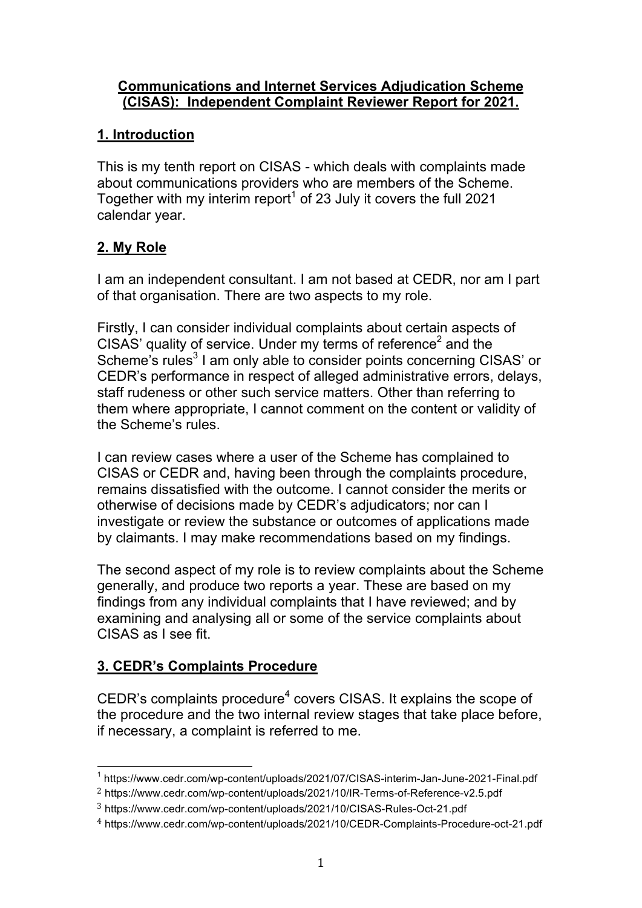### **Communications and Internet Services Adjudication Scheme (CISAS): Independent Complaint Reviewer Report for 2021.**

## **1. Introduction**

This is my tenth report on CISAS - which deals with complaints made about communications providers who are members of the Scheme. Together with my interim report<sup>1</sup> of 23 July it covers the full 2021 calendar year.

# **2. My Role**

I am an independent consultant. I am not based at CEDR, nor am I part of that organisation. There are two aspects to my role.

Firstly, I can consider individual complaints about certain aspects of CISAS' quality of service. Under my terms of reference<sup>2</sup> and the Scheme's rules<sup>3</sup> I am only able to consider points concerning CISAS' or CEDR's performance in respect of alleged administrative errors, delays, staff rudeness or other such service matters. Other than referring to them where appropriate, I cannot comment on the content or validity of the Scheme's rules.

I can review cases where a user of the Scheme has complained to CISAS or CEDR and, having been through the complaints procedure, remains dissatisfied with the outcome. I cannot consider the merits or otherwise of decisions made by CEDR's adjudicators; nor can I investigate or review the substance or outcomes of applications made by claimants. I may make recommendations based on my findings.

The second aspect of my role is to review complaints about the Scheme generally, and produce two reports a year. These are based on my findings from any individual complaints that I have reviewed; and by examining and analysing all or some of the service complaints about CISAS as I see fit.

# **3. CEDR's Complaints Procedure**

CEDR's complaints procedure<sup>4</sup> covers CISAS. It explains the scope of the procedure and the two internal review stages that take place before, if necessary, a complaint is referred to me.

 <sup>1</sup> https://www.cedr.com/wp-content/uploads/2021/07/CISAS-interim-Jan-June-2021-Final.pdf

<sup>2</sup> https://www.cedr.com/wp-content/uploads/2021/10/IR-Terms-of-Reference-v2.5.pdf

<sup>3</sup> https://www.cedr.com/wp-content/uploads/2021/10/CISAS-Rules-Oct-21.pdf

<sup>4</sup> https://www.cedr.com/wp-content/uploads/2021/10/CEDR-Complaints-Procedure-oct-21.pdf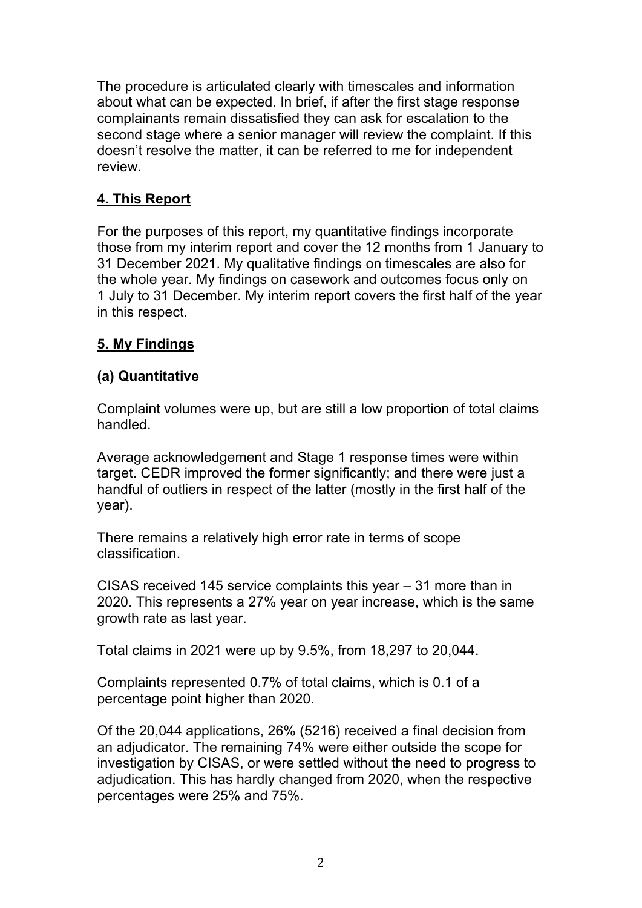The procedure is articulated clearly with timescales and information about what can be expected. In brief, if after the first stage response complainants remain dissatisfied they can ask for escalation to the second stage where a senior manager will review the complaint. If this doesn't resolve the matter, it can be referred to me for independent review.

# **4. This Report**

For the purposes of this report, my quantitative findings incorporate those from my interim report and cover the 12 months from 1 January to 31 December 2021. My qualitative findings on timescales are also for the whole year. My findings on casework and outcomes focus only on 1 July to 31 December. My interim report covers the first half of the year in this respect.

## **5. My Findings**

## **(a) Quantitative**

Complaint volumes were up, but are still a low proportion of total claims handled.

Average acknowledgement and Stage 1 response times were within target. CEDR improved the former significantly; and there were just a handful of outliers in respect of the latter (mostly in the first half of the year).

There remains a relatively high error rate in terms of scope classification.

CISAS received 145 service complaints this year – 31 more than in 2020. This represents a 27% year on year increase, which is the same growth rate as last year.

Total claims in 2021 were up by 9.5%, from 18,297 to 20,044.

Complaints represented 0.7% of total claims, which is 0.1 of a percentage point higher than 2020.

Of the 20,044 applications, 26% (5216) received a final decision from an adjudicator. The remaining 74% were either outside the scope for investigation by CISAS, or were settled without the need to progress to adjudication. This has hardly changed from 2020, when the respective percentages were 25% and 75%.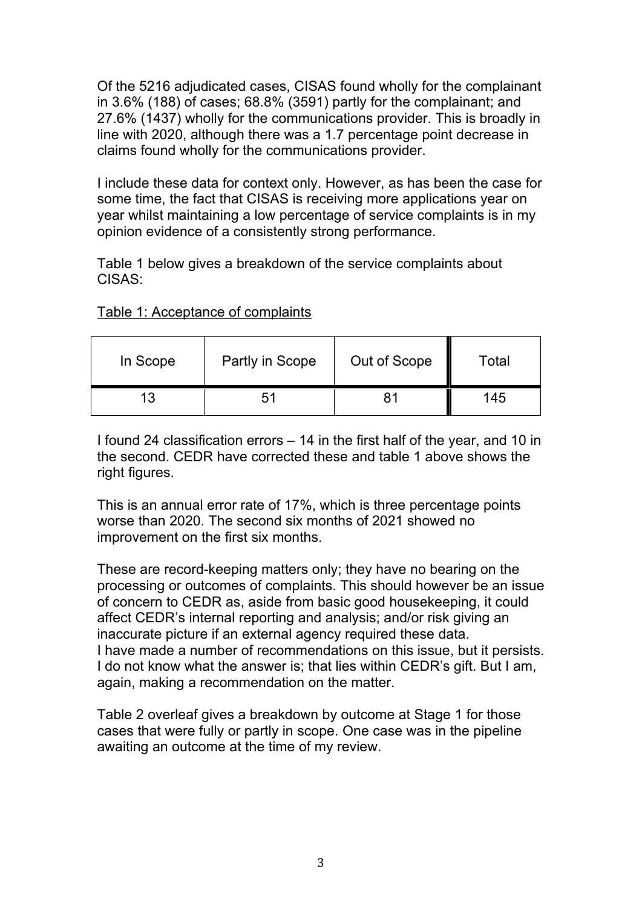Of the 5216 adjudicated cases, CISAS found wholly for the complainant in 3.6% (188) of cases; 68.8% (3591) partly for the complainant; and 27.6% (1437) wholly for the communications provider. This is broadly in line with 2020, although there was a 1.7 percentage point decrease in claims found wholly for the communications provider.

I include these data for context only. However, as has been the case for some time, the fact that CISAS is receiving more applications year on year whilst maintaining a low percentage of service complaints is in my opinion evidence of a consistently strong performance.

Table 1 below gives a breakdown of the service complaints about CISAS:

| Table 1: Acceptance of complaints |
|-----------------------------------|
|-----------------------------------|

| In Scope | Partly in Scope | Out of Scope | Total |
|----------|-----------------|--------------|-------|
|          | 51              |              | 145   |

I found 24 classification errors – 14 in the first half of the year, and 10 in the second. CEDR have corrected these and table 1 above shows the right figures.

This is an annual error rate of 17%, which is three percentage points worse than 2020. The second six months of 2021 showed no improvement on the first six months.

These are record-keeping matters only; they have no bearing on the processing or outcomes of complaints. This should however be an issue of concern to CEDR as, aside from basic good housekeeping, it could affect CEDR's internal reporting and analysis; and/or risk giving an inaccurate picture if an external agency required these data. I have made a number of recommendations on this issue, but it persists. I do not know what the answer is; that lies within CEDR's gift. But I am, again, making a recommendation on the matter.

Table 2 overleaf gives a breakdown by outcome at Stage 1 for those cases that were fully or partly in scope. One case was in the pipeline awaiting an outcome at the time of my review.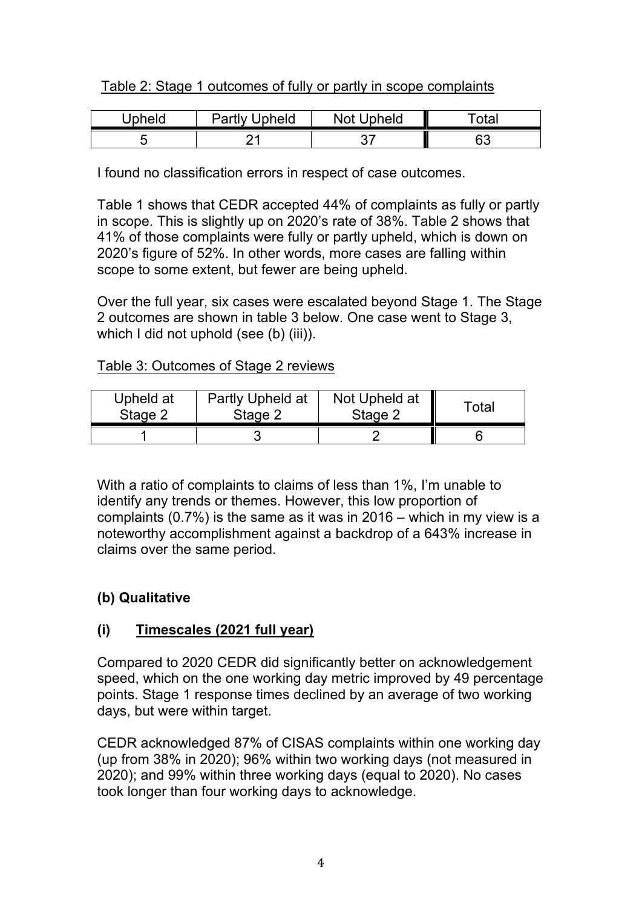## Table 2: Stage 1 outcomes of fully or partly in scope complaints

| Upheld | <b>Partly Upheld</b> | <b>Not Upheld</b> | ™otai     |
|--------|----------------------|-------------------|-----------|
|        |                      |                   | <b>A?</b> |

I found no classification errors in respect of case outcomes.

Table 1 shows that CEDR accepted 44% of complaints as fully or partly in scope. This is slightly up on 2020's rate of 38%. Table 2 shows that 41% of those complaints were fully or partly upheld, which is down on 2020's figure of 52%. In other words, more cases are falling within scope to some extent, but fewer are being upheld.

Over the full year, six cases were escalated beyond Stage 1. The Stage 2 outcomes are shown in table 3 below. One case went to Stage 3, which I did not uphold (see (b) (iii)).

### Table 3: Outcomes of Stage 2 reviews

| Upheld at | Partly Upheld at | Not Upheld at | Total |
|-----------|------------------|---------------|-------|
| Stage 2   | Stage 2          | Stage 2       |       |
|           |                  |               |       |

With a ratio of complaints to claims of less than 1%, I'm unable to identify any trends or themes. However, this low proportion of complaints (0.7%) is the same as it was in 2016 – which in my view is a noteworthy accomplishment against a backdrop of a 643% increase in claims over the same period.

## **(b) Qualitative**

# **(i) Timescales (2021 full year)**

Compared to 2020 CEDR did significantly better on acknowledgement speed, which on the one working day metric improved by 49 percentage points. Stage 1 response times declined by an average of two working days, but were within target.

CEDR acknowledged 87% of CISAS complaints within one working day (up from 38% in 2020); 96% within two working days (not measured in 2020); and 99% within three working days (equal to 2020). No cases took longer than four working days to acknowledge.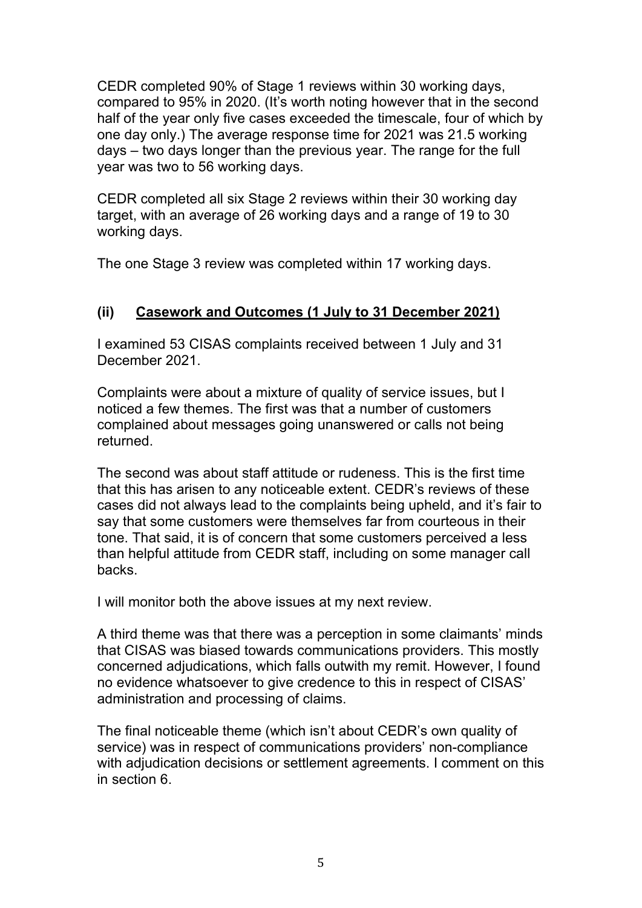CEDR completed 90% of Stage 1 reviews within 30 working days, compared to 95% in 2020. (It's worth noting however that in the second half of the year only five cases exceeded the timescale, four of which by one day only.) The average response time for 2021 was 21.5 working days – two days longer than the previous year. The range for the full year was two to 56 working days.

CEDR completed all six Stage 2 reviews within their 30 working day target, with an average of 26 working days and a range of 19 to 30 working days.

The one Stage 3 review was completed within 17 working days.

# **(ii) Casework and Outcomes (1 July to 31 December 2021)**

I examined 53 CISAS complaints received between 1 July and 31 December 2021.

Complaints were about a mixture of quality of service issues, but I noticed a few themes. The first was that a number of customers complained about messages going unanswered or calls not being returned.

The second was about staff attitude or rudeness. This is the first time that this has arisen to any noticeable extent. CEDR's reviews of these cases did not always lead to the complaints being upheld, and it's fair to say that some customers were themselves far from courteous in their tone. That said, it is of concern that some customers perceived a less than helpful attitude from CEDR staff, including on some manager call backs.

I will monitor both the above issues at my next review.

A third theme was that there was a perception in some claimants' minds that CISAS was biased towards communications providers. This mostly concerned adjudications, which falls outwith my remit. However, I found no evidence whatsoever to give credence to this in respect of CISAS' administration and processing of claims.

The final noticeable theme (which isn't about CEDR's own quality of service) was in respect of communications providers' non-compliance with adjudication decisions or settlement agreements. I comment on this in section 6.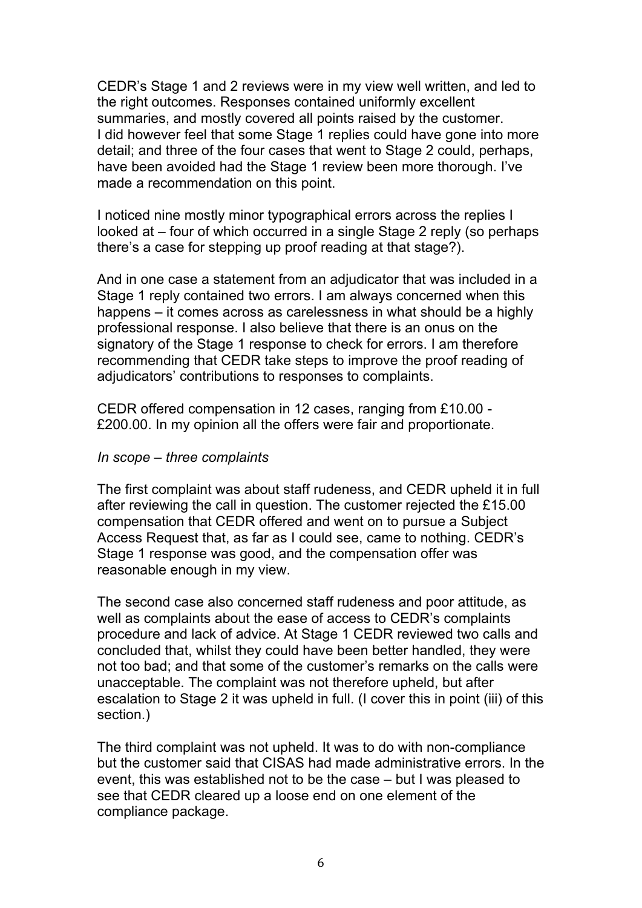CEDR's Stage 1 and 2 reviews were in my view well written, and led to the right outcomes. Responses contained uniformly excellent summaries, and mostly covered all points raised by the customer. I did however feel that some Stage 1 replies could have gone into more detail; and three of the four cases that went to Stage 2 could, perhaps, have been avoided had the Stage 1 review been more thorough. I've made a recommendation on this point.

I noticed nine mostly minor typographical errors across the replies I looked at – four of which occurred in a single Stage 2 reply (so perhaps there's a case for stepping up proof reading at that stage?).

And in one case a statement from an adjudicator that was included in a Stage 1 reply contained two errors. I am always concerned when this happens – it comes across as carelessness in what should be a highly professional response. I also believe that there is an onus on the signatory of the Stage 1 response to check for errors. I am therefore recommending that CEDR take steps to improve the proof reading of adjudicators' contributions to responses to complaints.

CEDR offered compensation in 12 cases, ranging from £10.00 - £200.00. In my opinion all the offers were fair and proportionate.

#### *In scope – three complaints*

The first complaint was about staff rudeness, and CEDR upheld it in full after reviewing the call in question. The customer rejected the £15.00 compensation that CEDR offered and went on to pursue a Subject Access Request that, as far as I could see, came to nothing. CEDR's Stage 1 response was good, and the compensation offer was reasonable enough in my view.

The second case also concerned staff rudeness and poor attitude, as well as complaints about the ease of access to CEDR's complaints procedure and lack of advice. At Stage 1 CEDR reviewed two calls and concluded that, whilst they could have been better handled, they were not too bad; and that some of the customer's remarks on the calls were unacceptable. The complaint was not therefore upheld, but after escalation to Stage 2 it was upheld in full. (I cover this in point (iii) of this section.)

The third complaint was not upheld. It was to do with non-compliance but the customer said that CISAS had made administrative errors. In the event, this was established not to be the case – but I was pleased to see that CEDR cleared up a loose end on one element of the compliance package.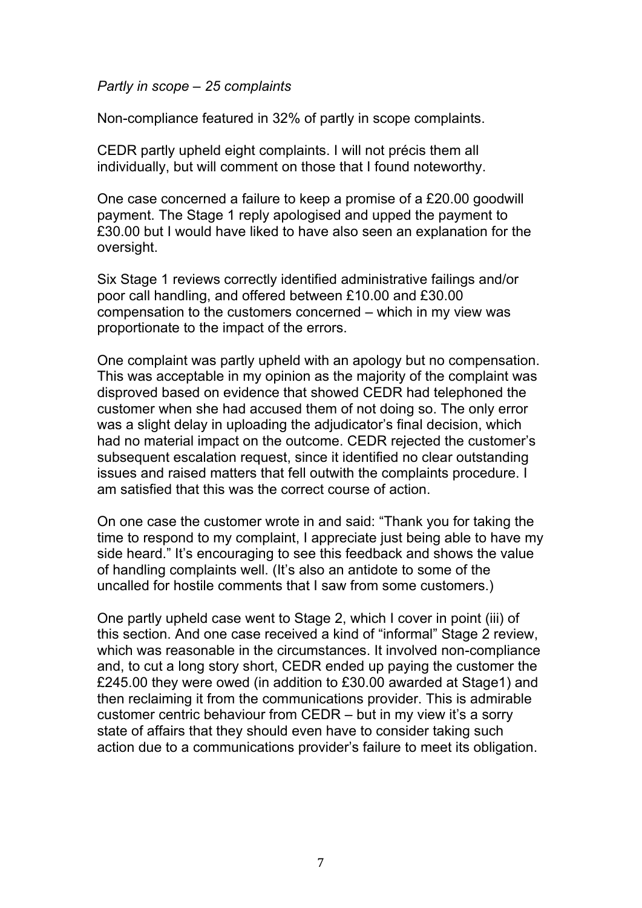#### *Partly in scope – 25 complaints*

Non-compliance featured in 32% of partly in scope complaints.

CEDR partly upheld eight complaints. I will not précis them all individually, but will comment on those that I found noteworthy.

One case concerned a failure to keep a promise of a £20.00 goodwill payment. The Stage 1 reply apologised and upped the payment to £30.00 but I would have liked to have also seen an explanation for the oversight.

Six Stage 1 reviews correctly identified administrative failings and/or poor call handling, and offered between £10.00 and £30.00 compensation to the customers concerned – which in my view was proportionate to the impact of the errors.

One complaint was partly upheld with an apology but no compensation. This was acceptable in my opinion as the majority of the complaint was disproved based on evidence that showed CEDR had telephoned the customer when she had accused them of not doing so. The only error was a slight delay in uploading the adjudicator's final decision, which had no material impact on the outcome. CEDR rejected the customer's subsequent escalation request, since it identified no clear outstanding issues and raised matters that fell outwith the complaints procedure. I am satisfied that this was the correct course of action.

On one case the customer wrote in and said: "Thank you for taking the time to respond to my complaint, I appreciate just being able to have my side heard." It's encouraging to see this feedback and shows the value of handling complaints well. (It's also an antidote to some of the uncalled for hostile comments that I saw from some customers.)

One partly upheld case went to Stage 2, which I cover in point (iii) of this section. And one case received a kind of "informal" Stage 2 review, which was reasonable in the circumstances. It involved non-compliance and, to cut a long story short, CEDR ended up paying the customer the £245.00 they were owed (in addition to £30.00 awarded at Stage1) and then reclaiming it from the communications provider. This is admirable customer centric behaviour from CEDR – but in my view it's a sorry state of affairs that they should even have to consider taking such action due to a communications provider's failure to meet its obligation.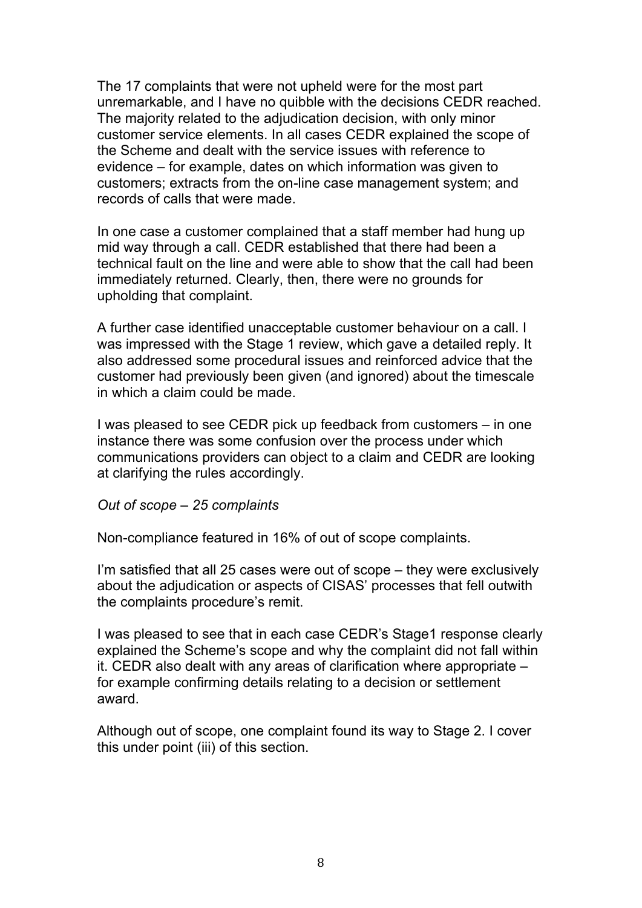The 17 complaints that were not upheld were for the most part unremarkable, and I have no quibble with the decisions CEDR reached. The majority related to the adjudication decision, with only minor customer service elements. In all cases CEDR explained the scope of the Scheme and dealt with the service issues with reference to evidence – for example, dates on which information was given to customers; extracts from the on-line case management system; and records of calls that were made.

In one case a customer complained that a staff member had hung up mid way through a call. CEDR established that there had been a technical fault on the line and were able to show that the call had been immediately returned. Clearly, then, there were no grounds for upholding that complaint.

A further case identified unacceptable customer behaviour on a call. I was impressed with the Stage 1 review, which gave a detailed reply. It also addressed some procedural issues and reinforced advice that the customer had previously been given (and ignored) about the timescale in which a claim could be made.

I was pleased to see CEDR pick up feedback from customers – in one instance there was some confusion over the process under which communications providers can object to a claim and CEDR are looking at clarifying the rules accordingly.

*Out of scope – 25 complaints*

Non-compliance featured in 16% of out of scope complaints.

I'm satisfied that all 25 cases were out of scope – they were exclusively about the adjudication or aspects of CISAS' processes that fell outwith the complaints procedure's remit.

I was pleased to see that in each case CEDR's Stage1 response clearly explained the Scheme's scope and why the complaint did not fall within it. CEDR also dealt with any areas of clarification where appropriate – for example confirming details relating to a decision or settlement award.

Although out of scope, one complaint found its way to Stage 2. I cover this under point (iii) of this section.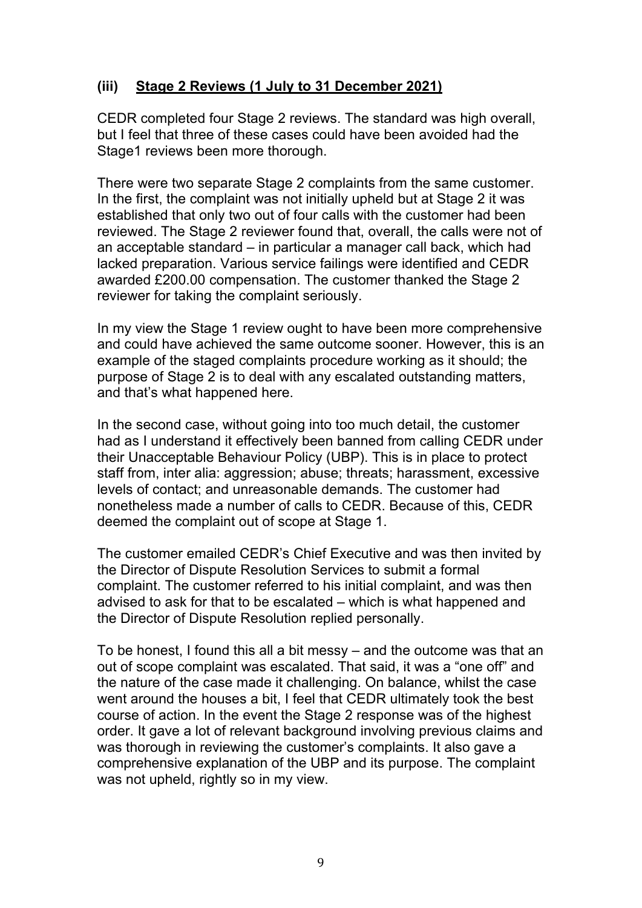## **(iii) Stage 2 Reviews (1 July to 31 December 2021)**

CEDR completed four Stage 2 reviews. The standard was high overall, but I feel that three of these cases could have been avoided had the Stage1 reviews been more thorough.

There were two separate Stage 2 complaints from the same customer. In the first, the complaint was not initially upheld but at Stage 2 it was established that only two out of four calls with the customer had been reviewed. The Stage 2 reviewer found that, overall, the calls were not of an acceptable standard – in particular a manager call back, which had lacked preparation. Various service failings were identified and CEDR awarded £200.00 compensation. The customer thanked the Stage 2 reviewer for taking the complaint seriously.

In my view the Stage 1 review ought to have been more comprehensive and could have achieved the same outcome sooner. However, this is an example of the staged complaints procedure working as it should; the purpose of Stage 2 is to deal with any escalated outstanding matters, and that's what happened here.

In the second case, without going into too much detail, the customer had as I understand it effectively been banned from calling CEDR under their Unacceptable Behaviour Policy (UBP). This is in place to protect staff from, inter alia: aggression; abuse; threats; harassment, excessive levels of contact; and unreasonable demands. The customer had nonetheless made a number of calls to CEDR. Because of this, CEDR deemed the complaint out of scope at Stage 1.

The customer emailed CEDR's Chief Executive and was then invited by the Director of Dispute Resolution Services to submit a formal complaint. The customer referred to his initial complaint, and was then advised to ask for that to be escalated – which is what happened and the Director of Dispute Resolution replied personally.

To be honest, I found this all a bit messy – and the outcome was that an out of scope complaint was escalated. That said, it was a "one off" and the nature of the case made it challenging. On balance, whilst the case went around the houses a bit, I feel that CEDR ultimately took the best course of action. In the event the Stage 2 response was of the highest order. It gave a lot of relevant background involving previous claims and was thorough in reviewing the customer's complaints. It also gave a comprehensive explanation of the UBP and its purpose. The complaint was not upheld, rightly so in my view.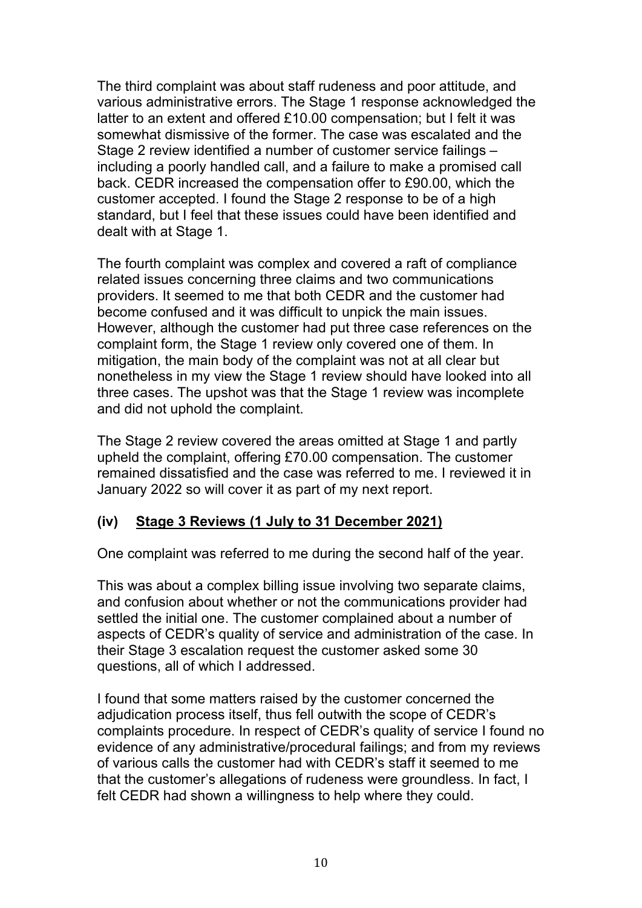The third complaint was about staff rudeness and poor attitude, and various administrative errors. The Stage 1 response acknowledged the latter to an extent and offered £10.00 compensation; but I felt it was somewhat dismissive of the former. The case was escalated and the Stage 2 review identified a number of customer service failings – including a poorly handled call, and a failure to make a promised call back. CEDR increased the compensation offer to £90.00, which the customer accepted. I found the Stage 2 response to be of a high standard, but I feel that these issues could have been identified and dealt with at Stage 1.

The fourth complaint was complex and covered a raft of compliance related issues concerning three claims and two communications providers. It seemed to me that both CEDR and the customer had become confused and it was difficult to unpick the main issues. However, although the customer had put three case references on the complaint form, the Stage 1 review only covered one of them. In mitigation, the main body of the complaint was not at all clear but nonetheless in my view the Stage 1 review should have looked into all three cases. The upshot was that the Stage 1 review was incomplete and did not uphold the complaint.

The Stage 2 review covered the areas omitted at Stage 1 and partly upheld the complaint, offering £70.00 compensation. The customer remained dissatisfied and the case was referred to me. I reviewed it in January 2022 so will cover it as part of my next report.

### **(iv) Stage 3 Reviews (1 July to 31 December 2021)**

One complaint was referred to me during the second half of the year.

This was about a complex billing issue involving two separate claims, and confusion about whether or not the communications provider had settled the initial one. The customer complained about a number of aspects of CEDR's quality of service and administration of the case. In their Stage 3 escalation request the customer asked some 30 questions, all of which I addressed.

I found that some matters raised by the customer concerned the adjudication process itself, thus fell outwith the scope of CEDR's complaints procedure. In respect of CEDR's quality of service I found no evidence of any administrative/procedural failings; and from my reviews of various calls the customer had with CEDR's staff it seemed to me that the customer's allegations of rudeness were groundless. In fact, I felt CEDR had shown a willingness to help where they could.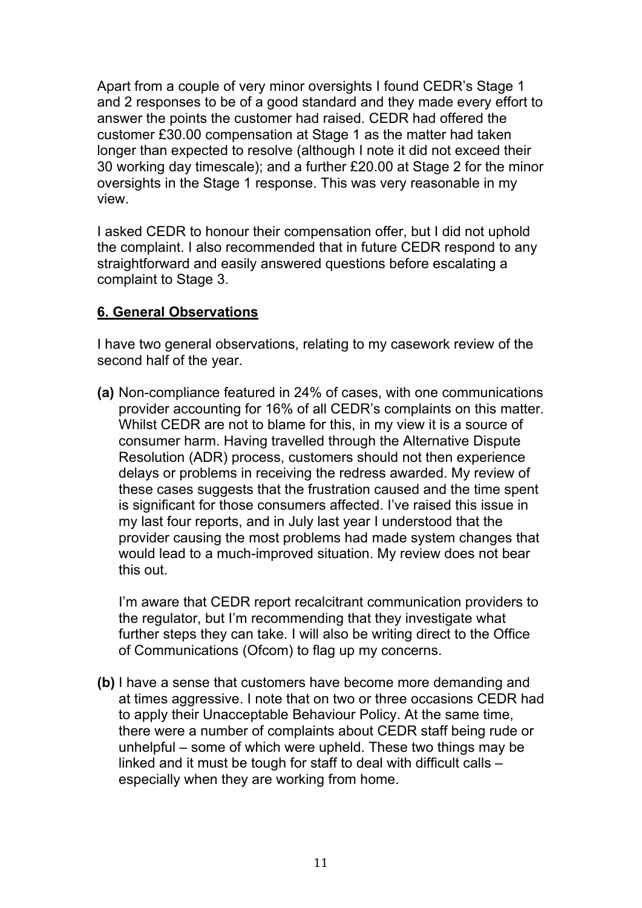Apart from a couple of very minor oversights I found CEDR's Stage 1 and 2 responses to be of a good standard and they made every effort to answer the points the customer had raised. CEDR had offered the customer £30.00 compensation at Stage 1 as the matter had taken longer than expected to resolve (although I note it did not exceed their 30 working day timescale); and a further £20.00 at Stage 2 for the minor oversights in the Stage 1 response. This was very reasonable in my view.

I asked CEDR to honour their compensation offer, but I did not uphold the complaint. I also recommended that in future CEDR respond to any straightforward and easily answered questions before escalating a complaint to Stage 3.

## **6. General Observations**

I have two general observations, relating to my casework review of the second half of the year.

**(a)** Non-compliance featured in 24% of cases, with one communications provider accounting for 16% of all CEDR's complaints on this matter. Whilst CEDR are not to blame for this, in my view it is a source of consumer harm. Having travelled through the Alternative Dispute Resolution (ADR) process, customers should not then experience delays or problems in receiving the redress awarded. My review of these cases suggests that the frustration caused and the time spent is significant for those consumers affected. I've raised this issue in my last four reports, and in July last year I understood that the provider causing the most problems had made system changes that would lead to a much-improved situation. My review does not bear this out.

I'm aware that CEDR report recalcitrant communication providers to the regulator, but I'm recommending that they investigate what further steps they can take. I will also be writing direct to the Office of Communications (Ofcom) to flag up my concerns.

**(b)** I have a sense that customers have become more demanding and at times aggressive. I note that on two or three occasions CEDR had to apply their Unacceptable Behaviour Policy. At the same time, there were a number of complaints about CEDR staff being rude or unhelpful – some of which were upheld. These two things may be linked and it must be tough for staff to deal with difficult calls – especially when they are working from home.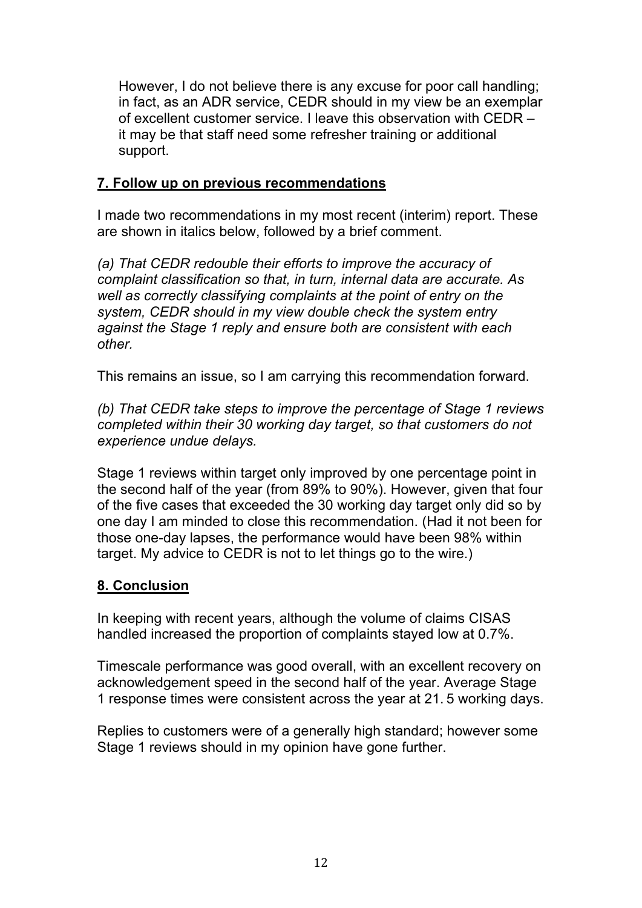However, I do not believe there is any excuse for poor call handling; in fact, as an ADR service, CEDR should in my view be an exemplar of excellent customer service. I leave this observation with CEDR – it may be that staff need some refresher training or additional support.

## **7. Follow up on previous recommendations**

I made two recommendations in my most recent (interim) report. These are shown in italics below, followed by a brief comment.

*(a) That CEDR redouble their efforts to improve the accuracy of complaint classification so that, in turn, internal data are accurate. As well as correctly classifying complaints at the point of entry on the system, CEDR should in my view double check the system entry against the Stage 1 reply and ensure both are consistent with each other.*

This remains an issue, so I am carrying this recommendation forward.

*(b) That CEDR take steps to improve the percentage of Stage 1 reviews completed within their 30 working day target, so that customers do not experience undue delays.*

Stage 1 reviews within target only improved by one percentage point in the second half of the year (from 89% to 90%). However, given that four of the five cases that exceeded the 30 working day target only did so by one day I am minded to close this recommendation. (Had it not been for those one-day lapses, the performance would have been 98% within target. My advice to CEDR is not to let things go to the wire.)

# **8. Conclusion**

In keeping with recent years, although the volume of claims CISAS handled increased the proportion of complaints stayed low at 0.7%.

Timescale performance was good overall, with an excellent recovery on acknowledgement speed in the second half of the year. Average Stage 1 response times were consistent across the year at 21. 5 working days.

Replies to customers were of a generally high standard; however some Stage 1 reviews should in my opinion have gone further.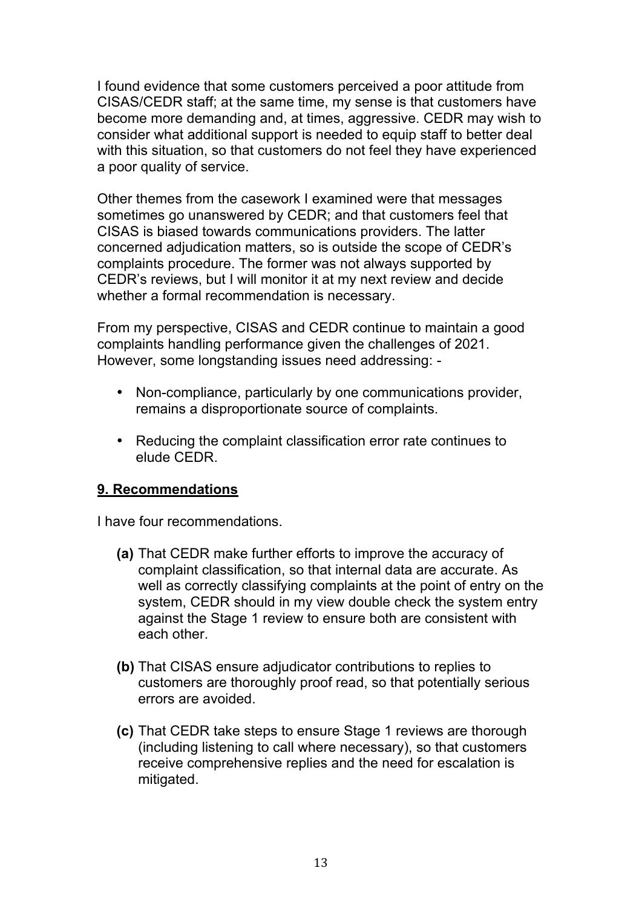I found evidence that some customers perceived a poor attitude from CISAS/CEDR staff; at the same time, my sense is that customers have become more demanding and, at times, aggressive. CEDR may wish to consider what additional support is needed to equip staff to better deal with this situation, so that customers do not feel they have experienced a poor quality of service.

Other themes from the casework I examined were that messages sometimes go unanswered by CEDR; and that customers feel that CISAS is biased towards communications providers. The latter concerned adjudication matters, so is outside the scope of CEDR's complaints procedure. The former was not always supported by CEDR's reviews, but I will monitor it at my next review and decide whether a formal recommendation is necessary.

From my perspective, CISAS and CEDR continue to maintain a good complaints handling performance given the challenges of 2021. However, some longstanding issues need addressing: -

- Non-compliance, particularly by one communications provider, remains a disproportionate source of complaints.
- Reducing the complaint classification error rate continues to elude CEDR.

## **9. Recommendations**

I have four recommendations.

- **(a)** That CEDR make further efforts to improve the accuracy of complaint classification, so that internal data are accurate. As well as correctly classifying complaints at the point of entry on the system, CEDR should in my view double check the system entry against the Stage 1 review to ensure both are consistent with each other.
- **(b)** That CISAS ensure adjudicator contributions to replies to customers are thoroughly proof read, so that potentially serious errors are avoided.
- **(c)** That CEDR take steps to ensure Stage 1 reviews are thorough (including listening to call where necessary), so that customers receive comprehensive replies and the need for escalation is mitigated.